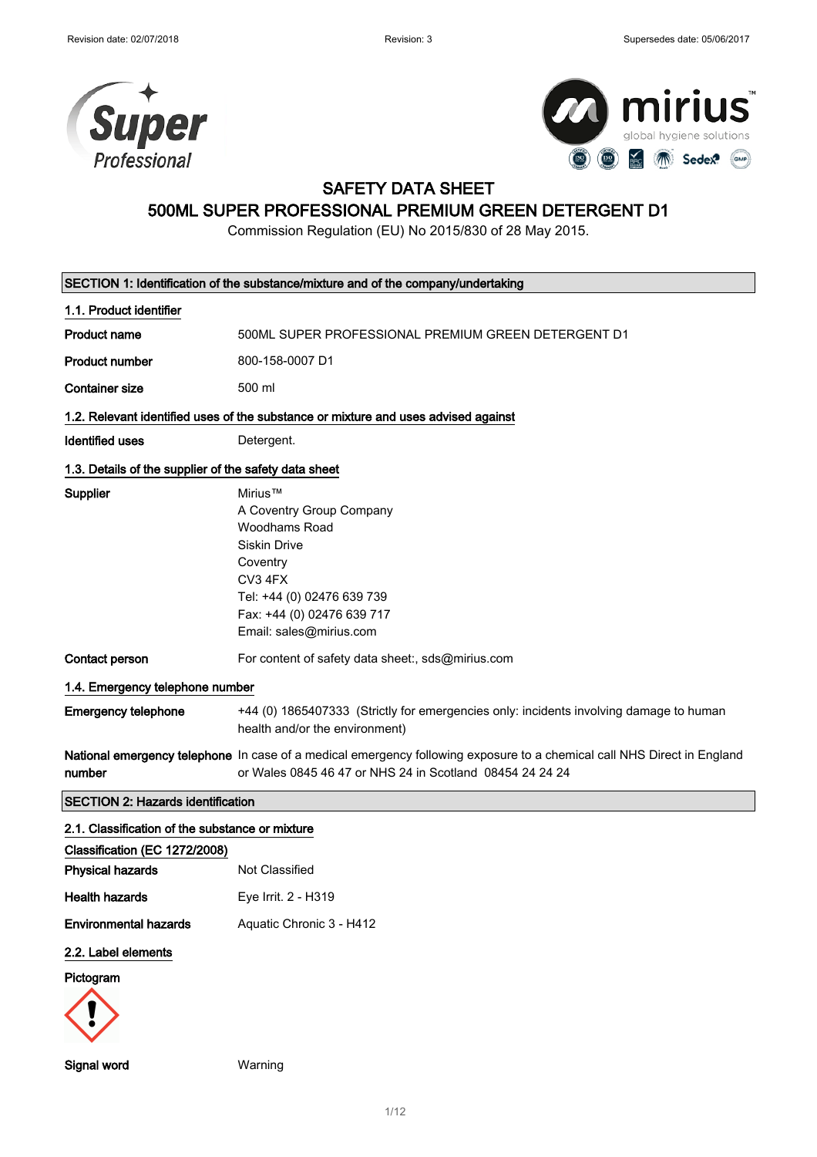



### SAFETY DATA SHEET

### 500ML SUPER PROFESSIONAL PREMIUM GREEN DETERGENT D1

Commission Regulation (EU) No 2015/830 of 28 May 2015.

| SECTION 1: Identification of the substance/mixture and of the company/undertaking |                                                                                                                                                                                           |  |
|-----------------------------------------------------------------------------------|-------------------------------------------------------------------------------------------------------------------------------------------------------------------------------------------|--|
| 1.1. Product identifier                                                           |                                                                                                                                                                                           |  |
| <b>Product name</b>                                                               | 500ML SUPER PROFESSIONAL PREMIUM GREEN DETERGENT D1                                                                                                                                       |  |
| <b>Product number</b>                                                             | 800-158-0007 D1                                                                                                                                                                           |  |
| <b>Container size</b>                                                             | 500 ml                                                                                                                                                                                    |  |
|                                                                                   | 1.2. Relevant identified uses of the substance or mixture and uses advised against                                                                                                        |  |
| <b>Identified uses</b>                                                            | Detergent.                                                                                                                                                                                |  |
| 1.3. Details of the supplier of the safety data sheet                             |                                                                                                                                                                                           |  |
| Supplier                                                                          | Mirius™<br>A Coventry Group Company<br>Woodhams Road<br><b>Siskin Drive</b><br>Coventry<br>CV3 4FX<br>Tel: +44 (0) 02476 639 739<br>Fax: +44 (0) 02476 639 717<br>Email: sales@mirius.com |  |
| <b>Contact person</b>                                                             | For content of safety data sheet:, sds@mirius.com                                                                                                                                         |  |
| 1.4. Emergency telephone number                                                   |                                                                                                                                                                                           |  |
| <b>Emergency telephone</b>                                                        | +44 (0) 1865407333 (Strictly for emergencies only: incidents involving damage to human<br>health and/or the environment)                                                                  |  |
| number                                                                            | National emergency telephone In case of a medical emergency following exposure to a chemical call NHS Direct in England<br>or Wales 0845 46 47 or NHS 24 in Scotland 08454 24 24 24       |  |
| <b>SECTION 2: Hazards identification</b>                                          |                                                                                                                                                                                           |  |
| 2.1. Classification of the substance or mixture                                   |                                                                                                                                                                                           |  |
| Classification (EC 1272/2008)<br><b>Physical hazards</b>                          | Not Classified                                                                                                                                                                            |  |
| <b>Health hazards</b>                                                             | Eye Irrit. 2 - H319                                                                                                                                                                       |  |
| <b>Environmental hazards</b>                                                      | Aquatic Chronic 3 - H412                                                                                                                                                                  |  |
| 2.2. Label elements<br>Pictogram<br>Signal word                                   | Warning                                                                                                                                                                                   |  |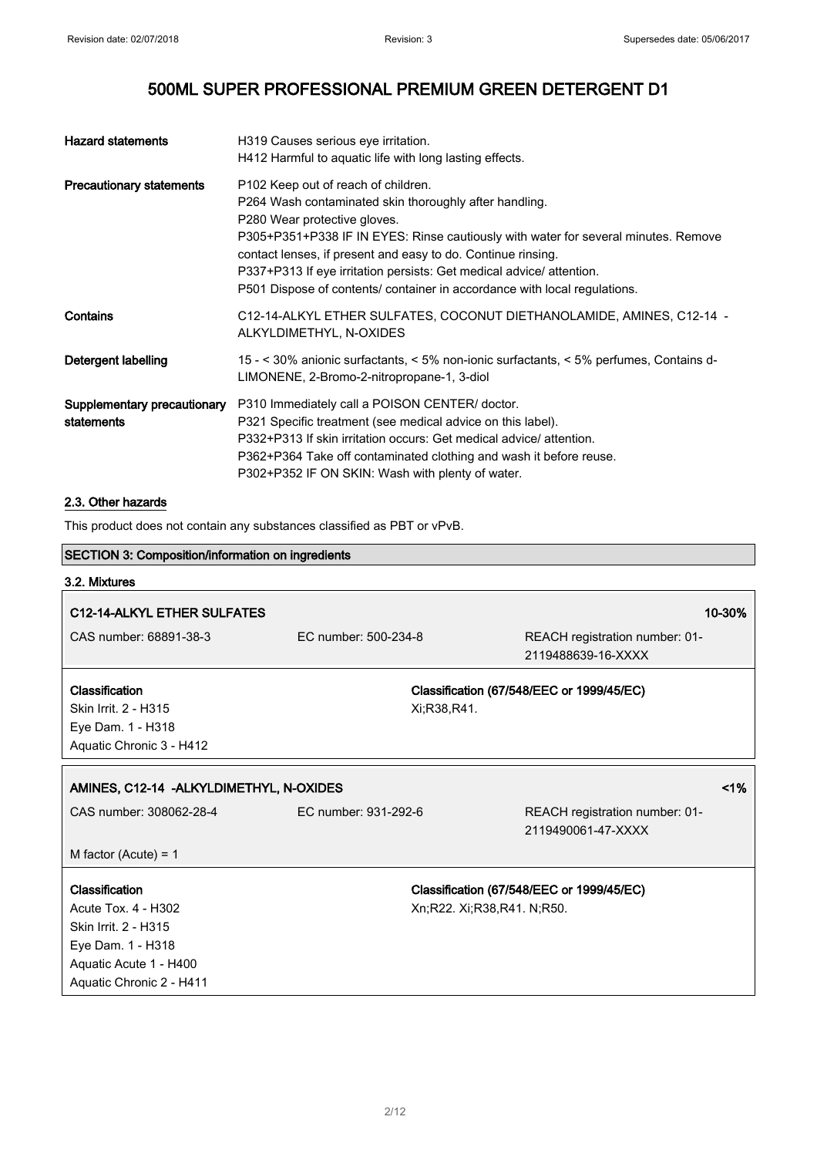| <b>Hazard statements</b>                  | H319 Causes serious eye irritation.<br>H412 Harmful to aquatic life with long lasting effects.                                                                                                                                                                                                                                                                                                                                           |
|-------------------------------------------|------------------------------------------------------------------------------------------------------------------------------------------------------------------------------------------------------------------------------------------------------------------------------------------------------------------------------------------------------------------------------------------------------------------------------------------|
| <b>Precautionary statements</b>           | P102 Keep out of reach of children.<br>P264 Wash contaminated skin thoroughly after handling.<br>P280 Wear protective gloves.<br>P305+P351+P338 IF IN EYES: Rinse cautiously with water for several minutes. Remove<br>contact lenses, if present and easy to do. Continue rinsing.<br>P337+P313 If eye irritation persists: Get medical advice/ attention.<br>P501 Dispose of contents/ container in accordance with local regulations. |
| Contains                                  | C12-14-ALKYL ETHER SULFATES, COCONUT DIETHANOLAMIDE, AMINES, C12-14 -<br>ALKYLDIMETHYL, N-OXIDES                                                                                                                                                                                                                                                                                                                                         |
| Detergent labelling                       | 15 - < 30% anionic surfactants, < 5% non-ionic surfactants, < 5% perfumes, Contains d-<br>LIMONENE, 2-Bromo-2-nitropropane-1, 3-diol                                                                                                                                                                                                                                                                                                     |
| Supplementary precautionary<br>statements | P310 Immediately call a POISON CENTER/ doctor.<br>P321 Specific treatment (see medical advice on this label).<br>P332+P313 If skin irritation occurs: Get medical advice/attention.<br>P362+P364 Take off contaminated clothing and wash it before reuse.<br>P302+P352 IF ON SKIN: Wash with plenty of water.                                                                                                                            |

#### 2.3. Other hazards

This product does not contain any substances classified as PBT or vPvB.

| <b>SECTION 3: Composition/information on ingredients</b> |                      |                                                      |
|----------------------------------------------------------|----------------------|------------------------------------------------------|
| 3.2. Mixtures                                            |                      |                                                      |
| C12-14-ALKYL ETHER SULFATES                              |                      | 10-30%                                               |
| CAS number: 68891-38-3                                   | EC number: 500-234-8 | REACH registration number: 01-<br>2119488639-16-XXXX |
| Classification                                           |                      | Classification (67/548/EEC or 1999/45/EC)            |
| Skin Irrit. 2 - H315                                     | Xi;R38,R41.          |                                                      |
| Eye Dam. 1 - H318                                        |                      |                                                      |
| Aquatic Chronic 3 - H412                                 |                      |                                                      |
| AMINES, C12-14 -ALKYLDIMETHYL, N-OXIDES                  |                      | 1%                                                   |
| CAS number: 308062-28-4                                  | EC number: 931-292-6 | REACH registration number: 01-<br>2119490061-47-XXXX |
| M factor (Acute) = $1$                                   |                      |                                                      |
| Classification                                           |                      | Classification (67/548/EEC or 1999/45/EC)            |
| Acute Tox. 4 - H302                                      |                      | Xn;R22. Xi;R38,R41. N;R50.                           |
| Skin Irrit. 2 - H315                                     |                      |                                                      |
| Eye Dam. 1 - H318                                        |                      |                                                      |
| Aquatic Acute 1 - H400                                   |                      |                                                      |
| Aquatic Chronic 2 - H411                                 |                      |                                                      |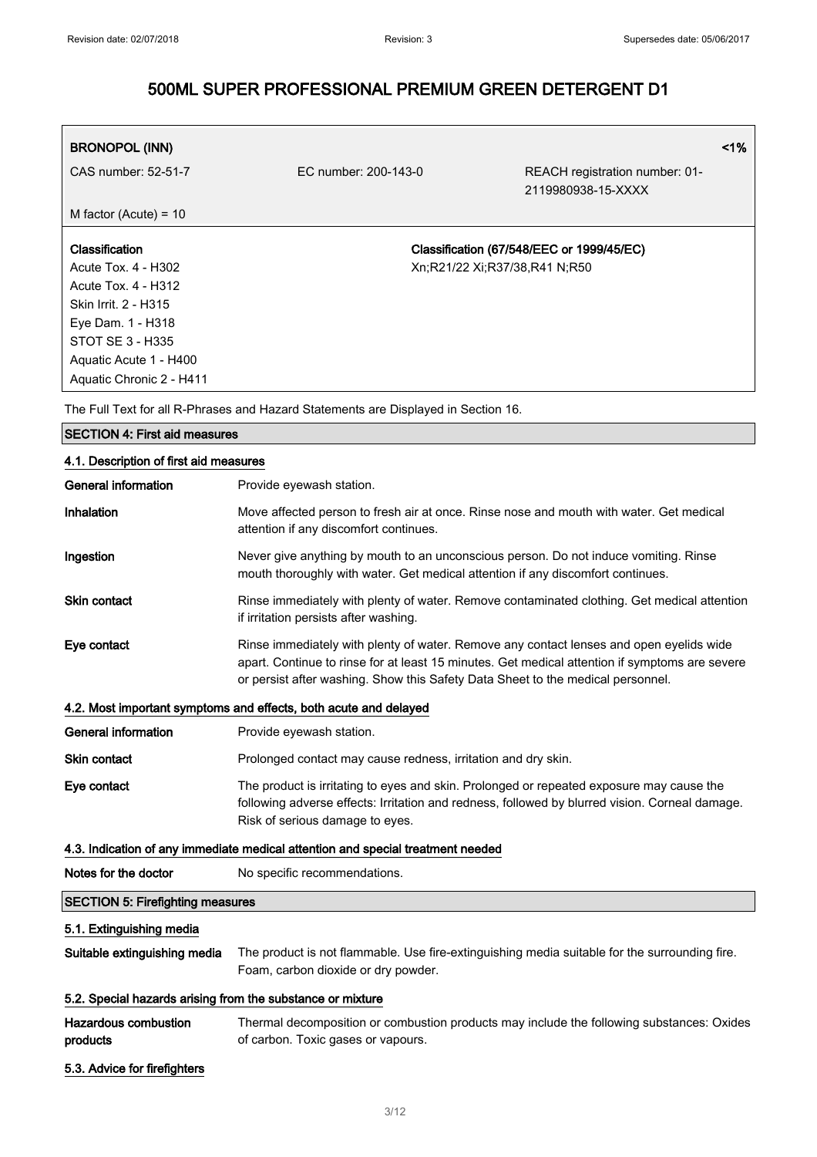| <b>BRONOPOL (INN)</b>    |                               |                                                      | $1\%$ |
|--------------------------|-------------------------------|------------------------------------------------------|-------|
| CAS number: 52-51-7      | EC number: 200-143-0          | REACH registration number: 01-<br>2119980938-15-XXXX |       |
| M factor (Acute) = $10$  |                               |                                                      |       |
|                          |                               |                                                      |       |
| <b>Classification</b>    |                               | Classification (67/548/EEC or 1999/45/EC)            |       |
| Acute Tox. 4 - H302      | Xn;R21/22 Xi;R37/38,R41 N;R50 |                                                      |       |
| Acute Tox. 4 - H312      |                               |                                                      |       |
| Skin Irrit. 2 - H315     |                               |                                                      |       |
| Eye Dam. 1 - H318        |                               |                                                      |       |
| STOT SE 3 - H335         |                               |                                                      |       |
| Aquatic Acute 1 - H400   |                               |                                                      |       |
| Aquatic Chronic 2 - H411 |                               |                                                      |       |

The Full Text for all R-Phrases and Hazard Statements are Displayed in Section 16.

| <b>SECTION 4: First aid measures</b>                                            |                                                                                                                                                                                                                                                                              |  |
|---------------------------------------------------------------------------------|------------------------------------------------------------------------------------------------------------------------------------------------------------------------------------------------------------------------------------------------------------------------------|--|
| 4.1. Description of first aid measures                                          |                                                                                                                                                                                                                                                                              |  |
| <b>General information</b>                                                      | Provide eyewash station.                                                                                                                                                                                                                                                     |  |
| Inhalation                                                                      | Move affected person to fresh air at once. Rinse nose and mouth with water. Get medical<br>attention if any discomfort continues.                                                                                                                                            |  |
| Ingestion                                                                       | Never give anything by mouth to an unconscious person. Do not induce vomiting. Rinse<br>mouth thoroughly with water. Get medical attention if any discomfort continues.                                                                                                      |  |
| <b>Skin contact</b>                                                             | Rinse immediately with plenty of water. Remove contaminated clothing. Get medical attention<br>if irritation persists after washing.                                                                                                                                         |  |
| Eye contact                                                                     | Rinse immediately with plenty of water. Remove any contact lenses and open eyelids wide<br>apart. Continue to rinse for at least 15 minutes. Get medical attention if symptoms are severe<br>or persist after washing. Show this Safety Data Sheet to the medical personnel. |  |
| 4.2. Most important symptoms and effects, both acute and delayed                |                                                                                                                                                                                                                                                                              |  |
| <b>General information</b>                                                      | Provide eyewash station.                                                                                                                                                                                                                                                     |  |
| <b>Skin contact</b>                                                             | Prolonged contact may cause redness, irritation and dry skin.                                                                                                                                                                                                                |  |
| Eye contact                                                                     | The product is irritating to eyes and skin. Prolonged or repeated exposure may cause the<br>following adverse effects: Irritation and redness, followed by blurred vision. Corneal damage.<br>Risk of serious damage to eyes.                                                |  |
| 4.3. Indication of any immediate medical attention and special treatment needed |                                                                                                                                                                                                                                                                              |  |
| Notes for the doctor                                                            | No specific recommendations.                                                                                                                                                                                                                                                 |  |
| <b>SECTION 5: Firefighting measures</b>                                         |                                                                                                                                                                                                                                                                              |  |
| 5.1. Extinguishing media                                                        |                                                                                                                                                                                                                                                                              |  |
| Suitable extinguishing media                                                    | The product is not flammable. Use fire-extinguishing media suitable for the surrounding fire.<br>Foam, carbon dioxide or dry powder.                                                                                                                                         |  |
| 5.2. Special hazards arising from the substance or mixture                      |                                                                                                                                                                                                                                                                              |  |
| <b>Hazardous combustion</b><br>products                                         | Thermal decomposition or combustion products may include the following substances: Oxides<br>of carbon. Toxic gases or vapours.                                                                                                                                              |  |
| 5.3. Advice for firefighters                                                    |                                                                                                                                                                                                                                                                              |  |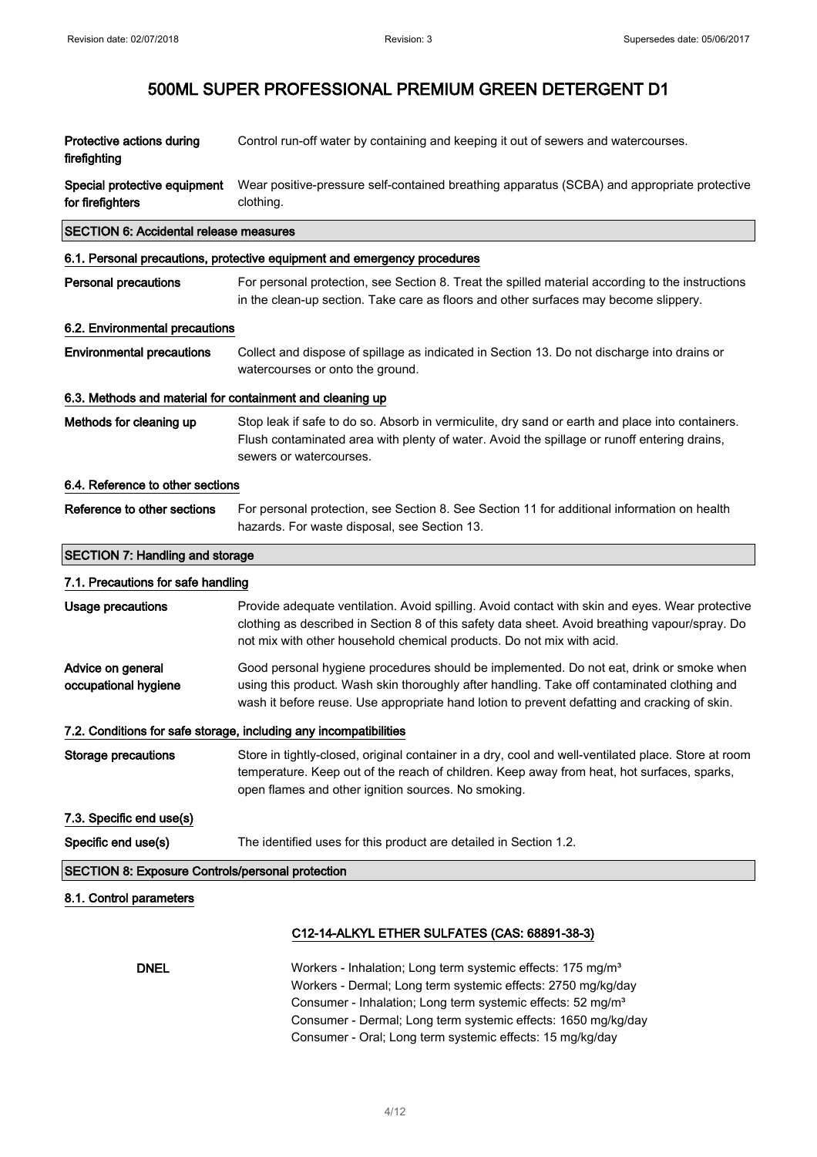| Protective actions during<br>firefighting                 | Control run-off water by containing and keeping it out of sewers and watercourses.                                                                                                                                                                                                                                                               |  |
|-----------------------------------------------------------|--------------------------------------------------------------------------------------------------------------------------------------------------------------------------------------------------------------------------------------------------------------------------------------------------------------------------------------------------|--|
| Special protective equipment<br>for firefighters          | Wear positive-pressure self-contained breathing apparatus (SCBA) and appropriate protective<br>clothing.                                                                                                                                                                                                                                         |  |
| <b>SECTION 6: Accidental release measures</b>             |                                                                                                                                                                                                                                                                                                                                                  |  |
|                                                           | 6.1. Personal precautions, protective equipment and emergency procedures                                                                                                                                                                                                                                                                         |  |
| <b>Personal precautions</b>                               | For personal protection, see Section 8. Treat the spilled material according to the instructions<br>in the clean-up section. Take care as floors and other surfaces may become slippery.                                                                                                                                                         |  |
| 6.2. Environmental precautions                            |                                                                                                                                                                                                                                                                                                                                                  |  |
| <b>Environmental precautions</b>                          | Collect and dispose of spillage as indicated in Section 13. Do not discharge into drains or<br>watercourses or onto the ground.                                                                                                                                                                                                                  |  |
| 6.3. Methods and material for containment and cleaning up |                                                                                                                                                                                                                                                                                                                                                  |  |
| Methods for cleaning up                                   | Stop leak if safe to do so. Absorb in vermiculite, dry sand or earth and place into containers.<br>Flush contaminated area with plenty of water. Avoid the spillage or runoff entering drains,<br>sewers or watercourses.                                                                                                                        |  |
| 6.4. Reference to other sections                          |                                                                                                                                                                                                                                                                                                                                                  |  |
| Reference to other sections                               | For personal protection, see Section 8. See Section 11 for additional information on health<br>hazards. For waste disposal, see Section 13.                                                                                                                                                                                                      |  |
| <b>SECTION 7: Handling and storage</b>                    |                                                                                                                                                                                                                                                                                                                                                  |  |
| 7.1. Precautions for safe handling                        |                                                                                                                                                                                                                                                                                                                                                  |  |
| <b>Usage precautions</b>                                  | Provide adequate ventilation. Avoid spilling. Avoid contact with skin and eyes. Wear protective<br>clothing as described in Section 8 of this safety data sheet. Avoid breathing vapour/spray. Do<br>not mix with other household chemical products. Do not mix with acid.                                                                       |  |
| Advice on general<br>occupational hygiene                 | Good personal hygiene procedures should be implemented. Do not eat, drink or smoke when<br>using this product. Wash skin thoroughly after handling. Take off contaminated clothing and<br>wash it before reuse. Use appropriate hand lotion to prevent defatting and cracking of skin.                                                           |  |
|                                                           | 7.2. Conditions for safe storage, including any incompatibilities                                                                                                                                                                                                                                                                                |  |
| <b>Storage precautions</b>                                | Store in tightly-closed, original container in a dry, cool and well-ventilated place. Store at room<br>temperature. Keep out of the reach of children. Keep away from heat, hot surfaces, sparks,<br>open flames and other ignition sources. No smoking.                                                                                         |  |
| 7.3. Specific end use(s)                                  |                                                                                                                                                                                                                                                                                                                                                  |  |
| Specific end use(s)                                       | The identified uses for this product are detailed in Section 1.2.                                                                                                                                                                                                                                                                                |  |
| <b>SECTION 8: Exposure Controls/personal protection</b>   |                                                                                                                                                                                                                                                                                                                                                  |  |
| 8.1. Control parameters                                   |                                                                                                                                                                                                                                                                                                                                                  |  |
|                                                           | C12-14-ALKYL ETHER SULFATES (CAS: 68891-38-3)                                                                                                                                                                                                                                                                                                    |  |
| <b>DNEL</b>                                               | Workers - Inhalation; Long term systemic effects: 175 mg/m <sup>3</sup><br>Workers - Dermal; Long term systemic effects: 2750 mg/kg/day<br>Consumer - Inhalation; Long term systemic effects: 52 mg/m <sup>3</sup><br>Consumer - Dermal; Long term systemic effects: 1650 mg/kg/day<br>Consumer - Oral; Long term systemic effects: 15 mg/kg/day |  |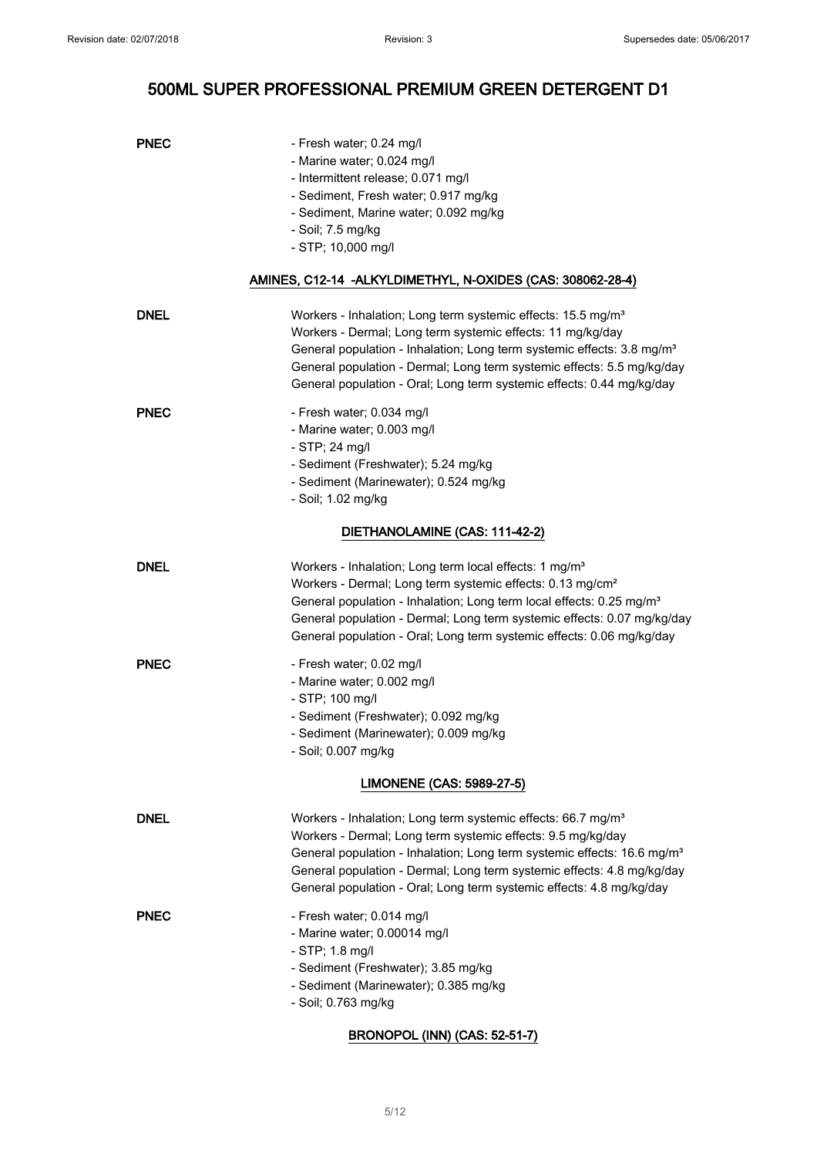| <b>PNEC</b>               | - Fresh water; 0.24 mg/l<br>- Marine water; 0.024 mg/l<br>- Intermittent release; 0.071 mg/l<br>- Sediment, Fresh water; 0.917 mg/kg<br>- Sediment, Marine water; 0.092 mg/kg<br>- Soil; 7.5 mg/kg<br>$-$ STP; 10,000 mg/l                                                                                                                                                          |  |
|---------------------------|-------------------------------------------------------------------------------------------------------------------------------------------------------------------------------------------------------------------------------------------------------------------------------------------------------------------------------------------------------------------------------------|--|
|                           | AMINES, C12-14 -ALKYLDIMETHYL, N-OXIDES (CAS: 308062-28-4)                                                                                                                                                                                                                                                                                                                          |  |
| <b>DNEL</b>               | Workers - Inhalation; Long term systemic effects: 15.5 mg/m <sup>3</sup><br>Workers - Dermal; Long term systemic effects: 11 mg/kg/day<br>General population - Inhalation; Long term systemic effects: 3.8 mg/m <sup>3</sup><br>General population - Dermal; Long term systemic effects: 5.5 mg/kg/day<br>General population - Oral; Long term systemic effects: 0.44 mg/kg/day     |  |
| <b>PNEC</b>               | - Fresh water; 0.034 mg/l<br>- Marine water; 0.003 mg/l<br>- STP; $24$ mg/l<br>- Sediment (Freshwater); 5.24 mg/kg<br>- Sediment (Marinewater); 0.524 mg/kg<br>- Soil; 1.02 mg/kg<br>DIETHANOLAMINE (CAS: 111-42-2)                                                                                                                                                                 |  |
| <b>DNEL</b>               | Workers - Inhalation; Long term local effects: 1 mg/m <sup>3</sup><br>Workers - Dermal; Long term systemic effects: 0.13 mg/cm <sup>2</sup><br>General population - Inhalation; Long term local effects: 0.25 mg/m <sup>3</sup><br>General population - Dermal; Long term systemic effects: 0.07 mg/kg/day<br>General population - Oral; Long term systemic effects: 0.06 mg/kg/day |  |
| <b>PNEC</b>               | - Fresh water; 0.02 mg/l<br>- Marine water; 0.002 mg/l<br>- STP; 100 mg/l<br>- Sediment (Freshwater); 0.092 mg/kg<br>- Sediment (Marinewater); 0.009 mg/kg<br>- Soil; 0.007 mg/kg                                                                                                                                                                                                   |  |
| LIMONENE (CAS: 5989-27-5) |                                                                                                                                                                                                                                                                                                                                                                                     |  |
| <b>DNEL</b>               | Workers - Inhalation; Long term systemic effects: 66.7 mg/m <sup>3</sup><br>Workers - Dermal; Long term systemic effects: 9.5 mg/kg/day<br>General population - Inhalation; Long term systemic effects: 16.6 mg/m <sup>3</sup><br>General population - Dermal; Long term systemic effects: 4.8 mg/kg/day<br>General population - Oral; Long term systemic effects: 4.8 mg/kg/day    |  |
| <b>PNEC</b>               | - Fresh water; 0.014 mg/l<br>- Marine water; 0.00014 mg/l<br>$-$ STP; 1.8 mg/l<br>- Sediment (Freshwater); 3.85 mg/kg<br>- Sediment (Marinewater); 0.385 mg/kg<br>- Soil; 0.763 mg/kg                                                                                                                                                                                               |  |

### BRONOPOL (INN) (CAS: 52-51-7)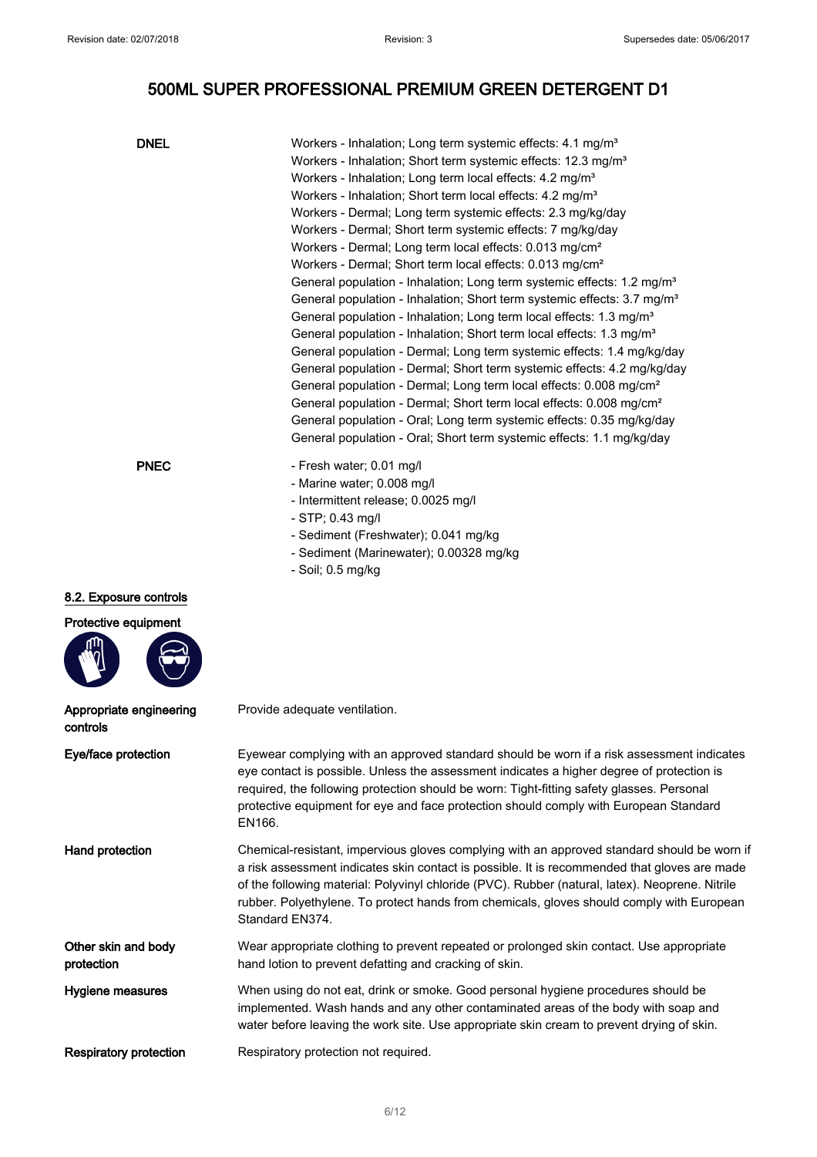| <b>DNEL</b>                         | Workers - Inhalation; Long term systemic effects: 4.1 mg/m <sup>3</sup><br>Workers - Inhalation; Short term systemic effects: 12.3 mg/m <sup>3</sup><br>Workers - Inhalation; Long term local effects: 4.2 mg/m <sup>3</sup><br>Workers - Inhalation; Short term local effects: 4.2 mg/m <sup>3</sup><br>Workers - Dermal; Long term systemic effects: 2.3 mg/kg/day<br>Workers - Dermal; Short term systemic effects: 7 mg/kg/day<br>Workers - Dermal; Long term local effects: 0.013 mg/cm <sup>2</sup><br>Workers - Dermal; Short term local effects: 0.013 mg/cm <sup>2</sup><br>General population - Inhalation; Long term systemic effects: 1.2 mg/m <sup>3</sup><br>General population - Inhalation; Short term systemic effects: 3.7 mg/m <sup>3</sup><br>General population - Inhalation; Long term local effects: 1.3 mg/m <sup>3</sup><br>General population - Inhalation; Short term local effects: 1.3 mg/m <sup>3</sup><br>General population - Dermal; Long term systemic effects: 1.4 mg/kg/day<br>General population - Dermal; Short term systemic effects: 4.2 mg/kg/day<br>General population - Dermal; Long term local effects: 0.008 mg/cm <sup>2</sup><br>General population - Dermal; Short term local effects: 0.008 mg/cm <sup>2</sup><br>General population - Oral; Long term systemic effects: 0.35 mg/kg/day<br>General population - Oral; Short term systemic effects: 1.1 mg/kg/day |  |
|-------------------------------------|-------------------------------------------------------------------------------------------------------------------------------------------------------------------------------------------------------------------------------------------------------------------------------------------------------------------------------------------------------------------------------------------------------------------------------------------------------------------------------------------------------------------------------------------------------------------------------------------------------------------------------------------------------------------------------------------------------------------------------------------------------------------------------------------------------------------------------------------------------------------------------------------------------------------------------------------------------------------------------------------------------------------------------------------------------------------------------------------------------------------------------------------------------------------------------------------------------------------------------------------------------------------------------------------------------------------------------------------------------------------------------------------------------------------|--|
| <b>PNEC</b>                         | - Fresh water; 0.01 mg/l<br>- Marine water; 0.008 mg/l<br>- Intermittent release; 0.0025 mg/l<br>- STP; 0.43 mg/l<br>- Sediment (Freshwater); 0.041 mg/kg<br>- Sediment (Marinewater); 0.00328 mg/kg<br>- Soil; 0.5 mg/kg                                                                                                                                                                                                                                                                                                                                                                                                                                                                                                                                                                                                                                                                                                                                                                                                                                                                                                                                                                                                                                                                                                                                                                                         |  |
| 8.2. Exposure controls              |                                                                                                                                                                                                                                                                                                                                                                                                                                                                                                                                                                                                                                                                                                                                                                                                                                                                                                                                                                                                                                                                                                                                                                                                                                                                                                                                                                                                                   |  |
| Protective equipment                |                                                                                                                                                                                                                                                                                                                                                                                                                                                                                                                                                                                                                                                                                                                                                                                                                                                                                                                                                                                                                                                                                                                                                                                                                                                                                                                                                                                                                   |  |
| Appropriate engineering<br>controls | Provide adequate ventilation.                                                                                                                                                                                                                                                                                                                                                                                                                                                                                                                                                                                                                                                                                                                                                                                                                                                                                                                                                                                                                                                                                                                                                                                                                                                                                                                                                                                     |  |
| Eye/face protection                 | Eyewear complying with an approved standard should be worn if a risk assessment indicates<br>eye contact is possible. Unless the assessment indicates a higher degree of protection is<br>required, the following protection should be worn: Tight-fitting safety glasses. Personal<br>protective equipment for eye and face protection should comply with European Standard<br>EN166.                                                                                                                                                                                                                                                                                                                                                                                                                                                                                                                                                                                                                                                                                                                                                                                                                                                                                                                                                                                                                            |  |
| Hand protection                     | Chemical-resistant, impervious gloves complying with an approved standard should be worn if<br>a risk assessment indicates skin contact is possible. It is recommended that gloves are made<br>of the following material: Polyvinyl chloride (PVC). Rubber (natural, latex). Neoprene. Nitrile<br>rubber. Polyethylene. To protect hands from chemicals, gloves should comply with European<br>Standard EN374.                                                                                                                                                                                                                                                                                                                                                                                                                                                                                                                                                                                                                                                                                                                                                                                                                                                                                                                                                                                                    |  |
| Other skin and body<br>protection   | Wear appropriate clothing to prevent repeated or prolonged skin contact. Use appropriate<br>hand lotion to prevent defatting and cracking of skin.                                                                                                                                                                                                                                                                                                                                                                                                                                                                                                                                                                                                                                                                                                                                                                                                                                                                                                                                                                                                                                                                                                                                                                                                                                                                |  |
| Hygiene measures                    | When using do not eat, drink or smoke. Good personal hygiene procedures should be<br>implemented. Wash hands and any other contaminated areas of the body with soap and<br>water before leaving the work site. Use appropriate skin cream to prevent drying of skin.                                                                                                                                                                                                                                                                                                                                                                                                                                                                                                                                                                                                                                                                                                                                                                                                                                                                                                                                                                                                                                                                                                                                              |  |
| <b>Respiratory protection</b>       | Respiratory protection not required.                                                                                                                                                                                                                                                                                                                                                                                                                                                                                                                                                                                                                                                                                                                                                                                                                                                                                                                                                                                                                                                                                                                                                                                                                                                                                                                                                                              |  |
|                                     |                                                                                                                                                                                                                                                                                                                                                                                                                                                                                                                                                                                                                                                                                                                                                                                                                                                                                                                                                                                                                                                                                                                                                                                                                                                                                                                                                                                                                   |  |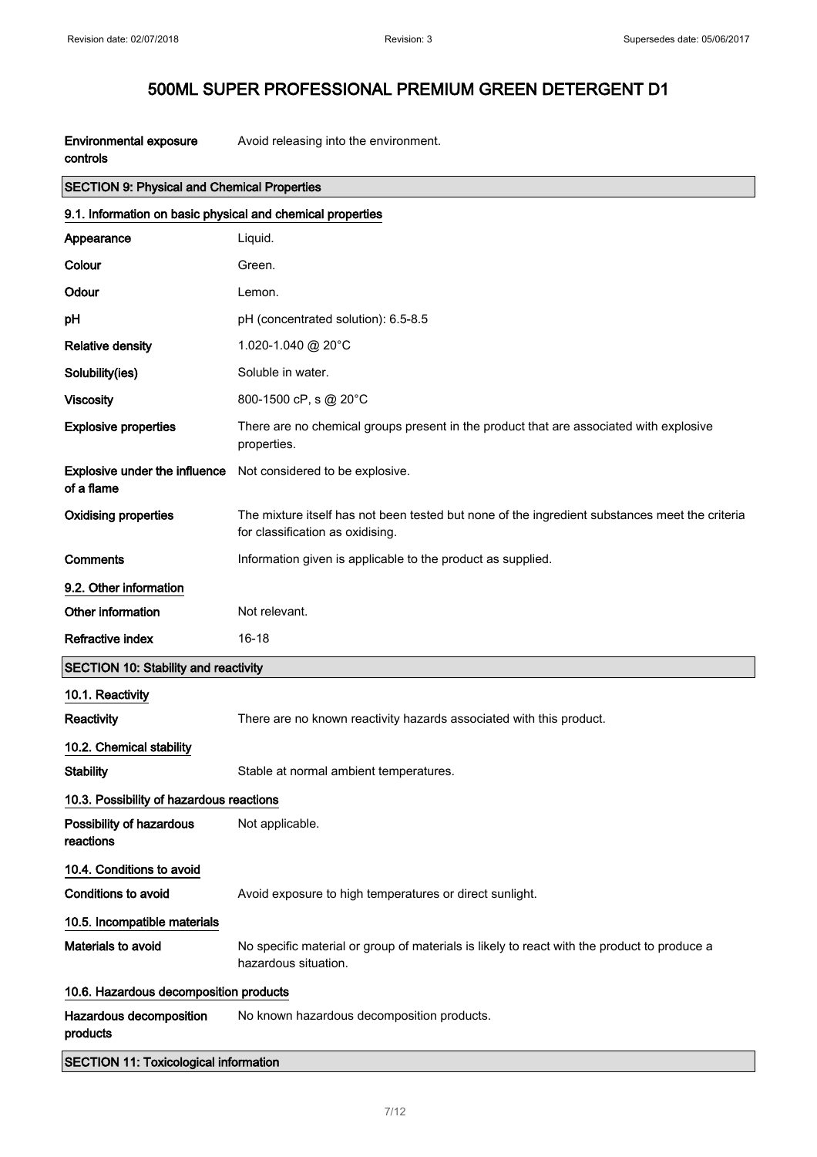$\overline{\phantom{0}}$ 

| Environmental exposure | Avoid releasing into the environment. |
|------------------------|---------------------------------------|
| controls               |                                       |

| <b>SECTION 9: Physical and Chemical Properties</b>         |                                                                                                                                    |  |
|------------------------------------------------------------|------------------------------------------------------------------------------------------------------------------------------------|--|
| 9.1. Information on basic physical and chemical properties |                                                                                                                                    |  |
| Appearance                                                 | Liquid.                                                                                                                            |  |
| Colour                                                     | Green.                                                                                                                             |  |
| Odour                                                      | Lemon.                                                                                                                             |  |
| pH                                                         | pH (concentrated solution): 6.5-8.5                                                                                                |  |
| <b>Relative density</b>                                    | 1.020-1.040 @ 20°C                                                                                                                 |  |
| Solubility(ies)                                            | Soluble in water.                                                                                                                  |  |
| <b>Viscosity</b>                                           | 800-1500 cP, s @ 20°C                                                                                                              |  |
| <b>Explosive properties</b>                                | There are no chemical groups present in the product that are associated with explosive<br>properties.                              |  |
| Explosive under the influence<br>of a flame                | Not considered to be explosive.                                                                                                    |  |
| <b>Oxidising properties</b>                                | The mixture itself has not been tested but none of the ingredient substances meet the criteria<br>for classification as oxidising. |  |
| <b>Comments</b>                                            | Information given is applicable to the product as supplied.                                                                        |  |
| 9.2. Other information                                     |                                                                                                                                    |  |
| Other information                                          | Not relevant.                                                                                                                      |  |
| Refractive index                                           | $16 - 18$                                                                                                                          |  |
| <b>SECTION 10: Stability and reactivity</b>                |                                                                                                                                    |  |
| 10.1. Reactivity                                           |                                                                                                                                    |  |
| Reactivity                                                 | There are no known reactivity hazards associated with this product.                                                                |  |
| 10.2. Chemical stability                                   |                                                                                                                                    |  |
| <b>Stability</b>                                           | Stable at normal ambient temperatures.                                                                                             |  |
| 10.3. Possibility of hazardous reactions                   |                                                                                                                                    |  |
| Possibility of hazardous<br>reactions                      | Not applicable.                                                                                                                    |  |
| 10.4. Conditions to avoid                                  |                                                                                                                                    |  |
| <b>Conditions to avoid</b>                                 | Avoid exposure to high temperatures or direct sunlight.                                                                            |  |
| 10.5. Incompatible materials                               |                                                                                                                                    |  |
| Materials to avoid                                         | No specific material or group of materials is likely to react with the product to produce a<br>hazardous situation.                |  |
| 10.6. Hazardous decomposition products                     |                                                                                                                                    |  |
| Hazardous decomposition<br>products                        | No known hazardous decomposition products.                                                                                         |  |
|                                                            |                                                                                                                                    |  |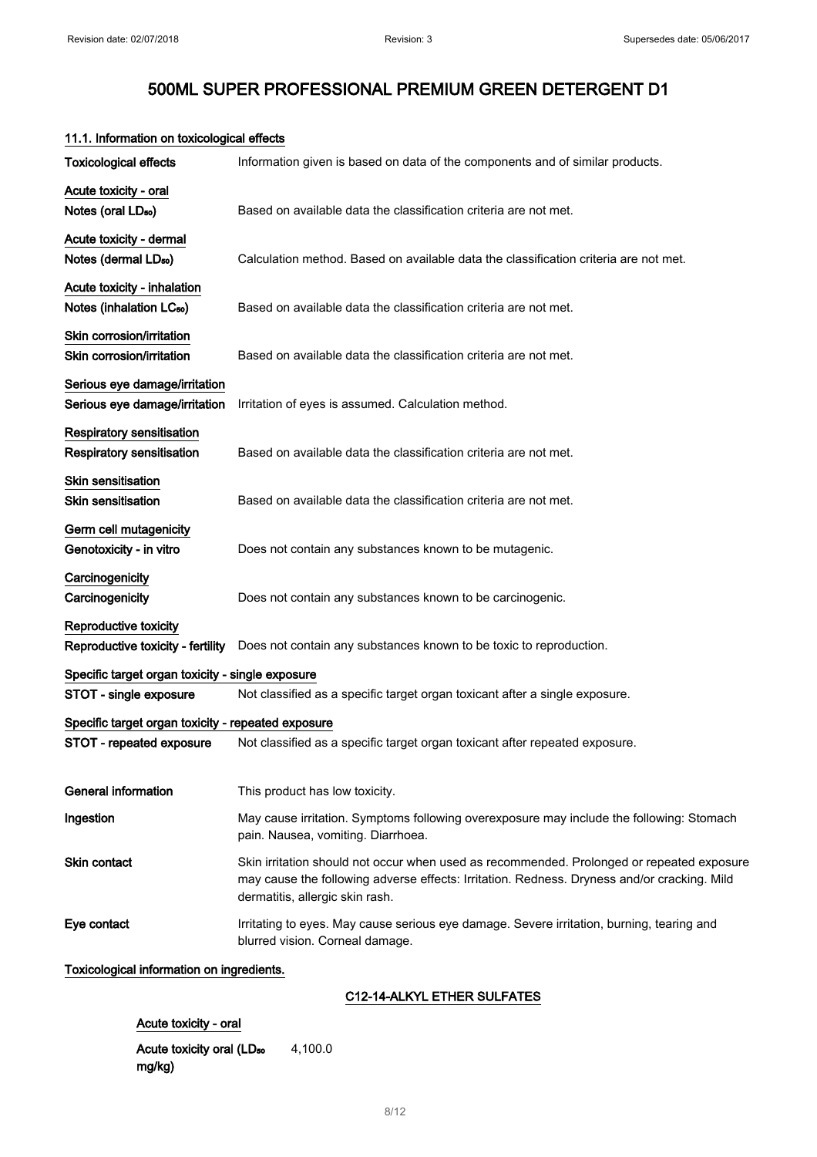# Toxicological effects Information given is based on data of the components and of similar products. Acute toxicity - oral Notes (oral LD<sub>so</sub>) Based on available data the classification criteria are not met. Acute toxicity - dermal Notes (dermal LD<sub>so</sub>) Calculation method. Based on available data the classification criteria are not met. Acute toxicity - inhalation Notes (inhalation LC<sub>50</sub>) Based on available data the classification criteria are not met. Skin corrosion/irritation Skin corrosion/irritation Based on available data the classification criteria are not met. Serious eye damage/irritation Serious eye damage/irritation Irritation of eyes is assumed. Calculation method. Respiratory sensitisation Respiratory sensitisation Based on available data the classification criteria are not met. Skin sensitisation **Skin sensitisation** Based on available data the classification criteria are not met. Germ cell mutagenicity Genotoxicity - in vitro **Does not contain any substances known to be mutagenic. Carcinogenicity** Carcinogenicity **Does not contain any substances known to be carcinogenic.** Reproductive toxicity Reproductive toxicity - fertility Does not contain any substances known to be toxic to reproduction. Specific target organ toxicity - single exposure STOT - single exposure Not classified as a specific target organ toxicant after a single exposure. Specific target organ toxicity - repeated exposure STOT - repeated exposure Not classified as a specific target organ toxicant after repeated exposure. General information This product has low toxicity. Ingestion **May cause irritation.** Symptoms following overexposure may include the following: Stomach pain. Nausea, vomiting. Diarrhoea. Skin contact Skin irritation should not occur when used as recommended. Prolonged or repeated exposure may cause the following adverse effects: Irritation. Redness. Dryness and/or cracking. Mild dermatitis, allergic skin rash. Eye contact **Inter Irritating to eyes. May cause serious eye damage. Severe irritation, burning, tearing and** blurred vision. Corneal damage. Toxicological information on ingredients. C12-14-ALKYL ETHER SULFATES

#### 11.1. Information on toxicological effects

Acute toxicity - oral

Acute toxicity oral (LD<sub>50</sub> mg/kg) 4,100.0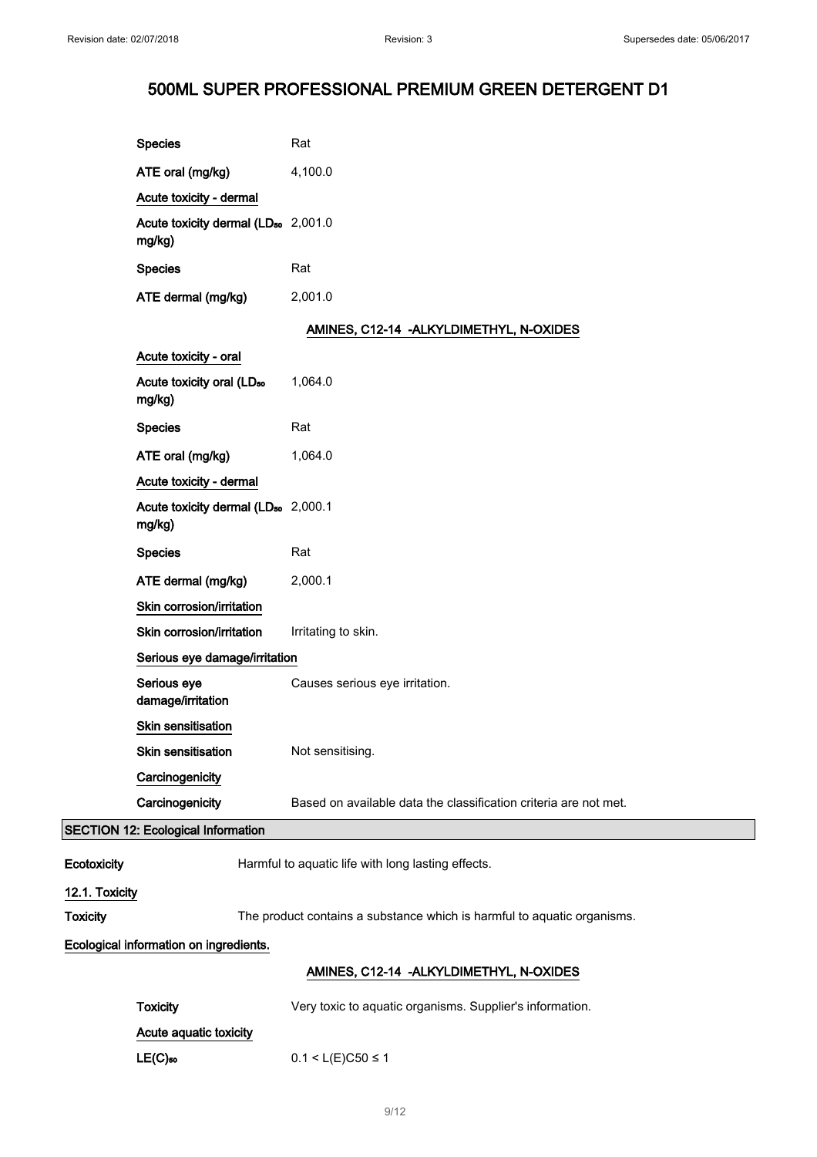| <b>Species</b>                                            | Rat                                                                     |
|-----------------------------------------------------------|-------------------------------------------------------------------------|
| ATE oral (mg/kg)                                          | 4,100.0                                                                 |
| Acute toxicity - dermal                                   |                                                                         |
| Acute toxicity dermal (LD <sub>50</sub> 2,001.0<br>mg/kg) |                                                                         |
| <b>Species</b>                                            | Rat                                                                     |
| ATE dermal (mg/kg)                                        | 2,001.0                                                                 |
|                                                           | AMINES, C12-14 -ALKYLDIMETHYL, N-OXIDES                                 |
| Acute toxicity - oral                                     |                                                                         |
| Acute toxicity oral (LD <sub>50</sub><br>mg/kg)           | 1,064.0                                                                 |
| <b>Species</b>                                            | Rat                                                                     |
| ATE oral (mg/kg)                                          | 1,064.0                                                                 |
| Acute toxicity - dermal                                   |                                                                         |
| Acute toxicity dermal (LD <sub>50</sub> 2,000.1<br>mg/kg) |                                                                         |
| <b>Species</b>                                            | Rat                                                                     |
| ATE dermal (mg/kg)                                        | 2,000.1                                                                 |
| Skin corrosion/irritation                                 |                                                                         |
| Skin corrosion/irritation                                 | Irritating to skin.                                                     |
| Serious eye damage/irritation                             |                                                                         |
| Serious eye<br>damage/irritation                          | Causes serious eye irritation.                                          |
| <b>Skin sensitisation</b>                                 |                                                                         |
| Skin sensitisation                                        | Not sensitising.                                                        |
| Carcinogenicity                                           |                                                                         |
| Carcinogenicity                                           | Based on available data the classification criteria are not met.        |
| <b>SECTION 12: Ecological Information</b>                 |                                                                         |
| Ecotoxicity                                               | Harmful to aquatic life with long lasting effects.                      |
| 12.1. Toxicity                                            |                                                                         |
| <b>Toxicity</b>                                           | The product contains a substance which is harmful to aquatic organisms. |
| Ecological information on ingredients.                    |                                                                         |
|                                                           | AMINES, C12-14 - ALKYLDIMETHYL, N-OXIDES                                |
| <b>Toxicity</b>                                           | Very toxic to aquatic organisms. Supplier's information.                |

Acute aquatic toxicity

**LE(C)**so 0.1 < L(E)C50 ≤ 1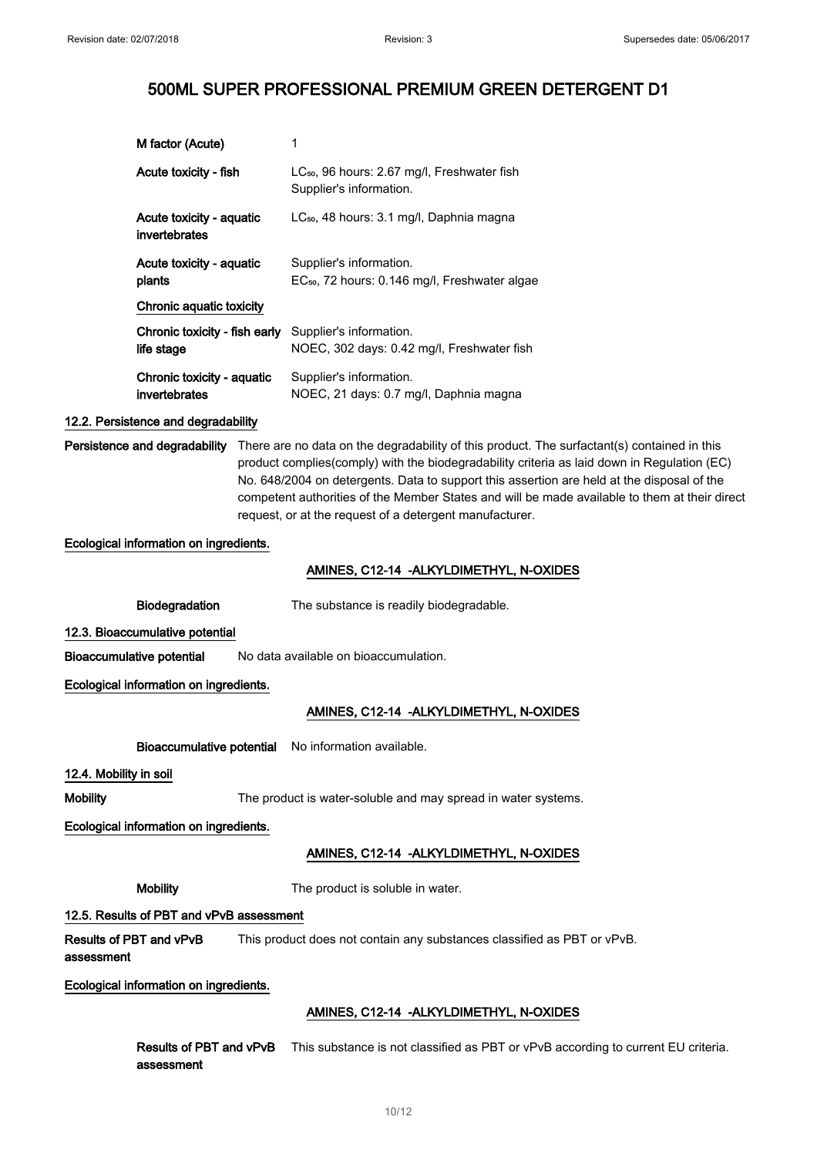| M factor (Acute)                            | 1                                                                                    |
|---------------------------------------------|--------------------------------------------------------------------------------------|
| Acute toxicity - fish                       | LC <sub>50</sub> , 96 hours: 2.67 mg/l, Freshwater fish<br>Supplier's information.   |
| Acute toxicity - aquatic<br>invertebrates   | LC <sub>50</sub> , 48 hours: 3.1 mg/l, Daphnia magna                                 |
| Acute toxicity - aquatic<br>plants          | Supplier's information.<br>EC <sub>50</sub> , 72 hours: 0.146 mg/l, Freshwater algae |
| Chronic aquatic toxicity                    |                                                                                      |
| Chronic toxicity - fish early<br>life stage | Supplier's information.<br>NOEC, 302 days: 0.42 mg/l, Freshwater fish                |
| Chronic toxicity - aquatic<br>invertebrates | Supplier's information.<br>NOEC, 21 days: 0.7 mg/l, Daphnia magna                    |

#### 12.2. Persistence and degradability

Persistence and degradability There are no data on the degradability of this product. The surfactant(s) contained in this product complies(comply) with the biodegradability criteria as laid down in Regulation (EC) No. 648/2004 on detergents. Data to support this assertion are held at the disposal of the competent authorities of the Member States and will be made available to them at their direct request, or at the request of a detergent manufacturer.

#### Ecological information on ingredients.

#### AMINES, C12-14 -ALKYLDIMETHYL, N-OXIDES

Biodegradation The substance is readily biodegradable.

12.3. Bioaccumulative potential

Bioaccumulative potential No data available on bioaccumulation.

Ecological information on ingredients.

#### AMINES, C12-14 -ALKYLDIMETHYL, N-OXIDES

Bioaccumulative potential No information available.

#### 12.4. Mobility in soil

Mobility The product is water-soluble and may spread in water systems.

#### Ecological information on ingredients.

#### AMINES, C12-14 -ALKYLDIMETHYL, N-OXIDES

Mobility The product is soluble in water.

#### 12.5. Results of PBT and vPvB assessment

Results of PBT and vPvB assessment This product does not contain any substances classified as PBT or vPvB.

Ecological information on ingredients.

#### AMINES, C12-14 -ALKYLDIMETHYL, N-OXIDES

Results of PBT and vPvB This substance is not classified as PBT or vPvB according to current EU criteria. assessment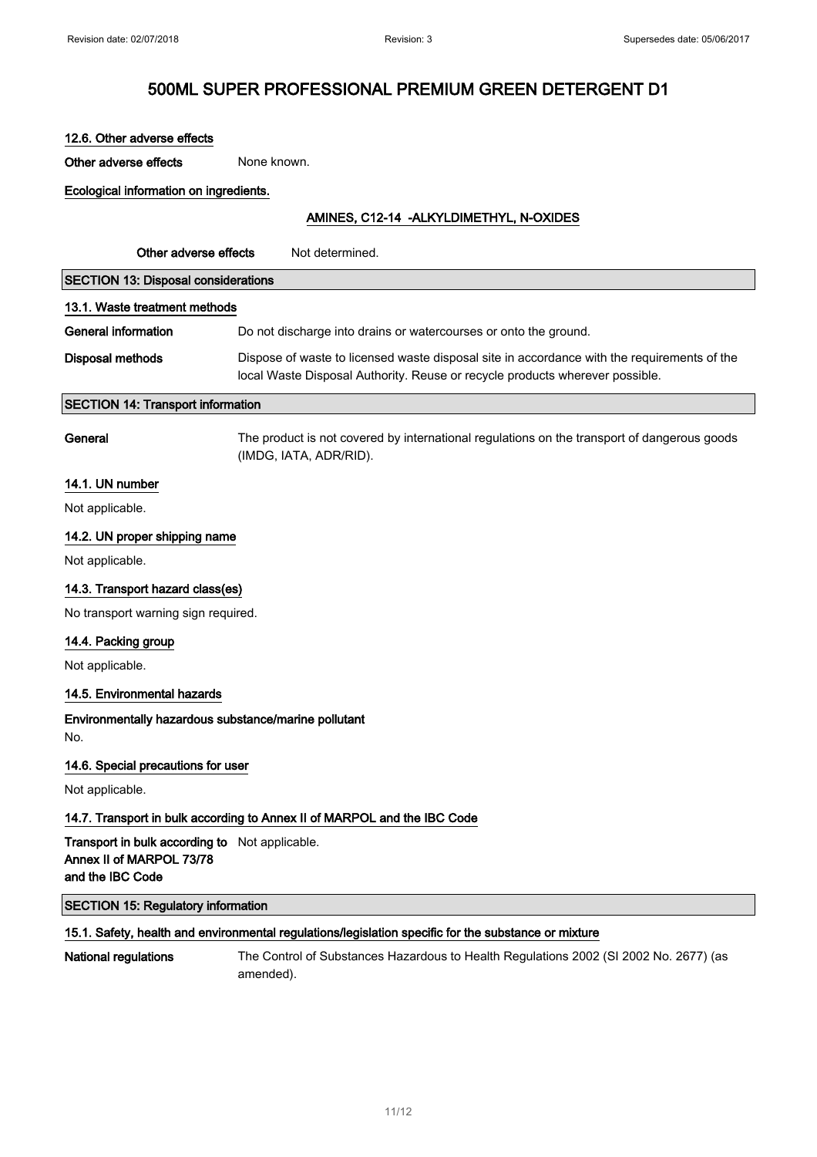| 12.6. Other adverse effects                                                                          |                                                                                                                                                                             |  |
|------------------------------------------------------------------------------------------------------|-----------------------------------------------------------------------------------------------------------------------------------------------------------------------------|--|
| Other adverse effects                                                                                | None known.                                                                                                                                                                 |  |
| Ecological information on ingredients.                                                               |                                                                                                                                                                             |  |
| AMINES, C12-14 -ALKYLDIMETHYL, N-OXIDES                                                              |                                                                                                                                                                             |  |
| Other adverse effects                                                                                | Not determined.                                                                                                                                                             |  |
| <b>SECTION 13: Disposal considerations</b>                                                           |                                                                                                                                                                             |  |
| 13.1. Waste treatment methods                                                                        |                                                                                                                                                                             |  |
| <b>General information</b>                                                                           | Do not discharge into drains or watercourses or onto the ground.                                                                                                            |  |
| <b>Disposal methods</b>                                                                              | Dispose of waste to licensed waste disposal site in accordance with the requirements of the<br>local Waste Disposal Authority. Reuse or recycle products wherever possible. |  |
| <b>SECTION 14: Transport information</b>                                                             |                                                                                                                                                                             |  |
| General                                                                                              | The product is not covered by international regulations on the transport of dangerous goods<br>(IMDG, IATA, ADR/RID).                                                       |  |
| 14.1. UN number                                                                                      |                                                                                                                                                                             |  |
| Not applicable.                                                                                      |                                                                                                                                                                             |  |
| 14.2. UN proper shipping name                                                                        |                                                                                                                                                                             |  |
| Not applicable.                                                                                      |                                                                                                                                                                             |  |
| 14.3. Transport hazard class(es)                                                                     |                                                                                                                                                                             |  |
| No transport warning sign required.                                                                  |                                                                                                                                                                             |  |
| 14.4. Packing group                                                                                  |                                                                                                                                                                             |  |
| Not applicable.                                                                                      |                                                                                                                                                                             |  |
| 14.5. Environmental hazards                                                                          |                                                                                                                                                                             |  |
| Environmentally hazardous substance/marine pollutant<br>No.                                          |                                                                                                                                                                             |  |
| 14.6. Special precautions for user                                                                   |                                                                                                                                                                             |  |
| Not applicable.                                                                                      |                                                                                                                                                                             |  |
|                                                                                                      | 14.7. Transport in bulk according to Annex II of MARPOL and the IBC Code                                                                                                    |  |
| Transport in bulk according to Not applicable.<br>Annex II of MARPOL 73/78<br>and the IBC Code       |                                                                                                                                                                             |  |
| <b>SECTION 15: Regulatory information</b>                                                            |                                                                                                                                                                             |  |
| 15.1. Safety, health and environmental regulations/legislation specific for the substance or mixture |                                                                                                                                                                             |  |
| <b>National regulations</b>                                                                          | The Control of Substances Hazardous to Health Regulations 2002 (SI 2002 No. 2677) (as<br>amended).                                                                          |  |